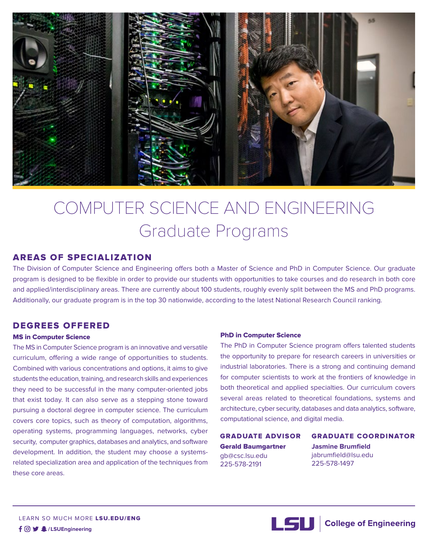

# COMPUTER SCIENCE AND ENGINEERING Graduate Programs

## AREAS OF SPECIALIZATION

The Division of Computer Science and Engineering offers both a Master of Science and PhD in Computer Science. Our graduate program is designed to be flexible in order to provide our students with opportunities to take courses and do research in both core and applied/interdisciplinary areas. There are currently about 100 students, roughly evenly split between the MS and PhD programs. Additionally, our graduate program is in the top 30 nationwide, according to the latest National Research Council ranking.

## DEGREES OFFERED

#### MS in Computer Science

The MS in Computer Science program is an innovative and versatile curriculum, offering a wide range of opportunities to students. Combined with various concentrations and options, it aims to give students the education, training, and research skills and experiences they need to be successful in the many computer-oriented jobs that exist today. It can also serve as a stepping stone toward pursuing a doctoral degree in computer science. The curriculum covers core topics, such as theory of computation, algorithms, operating systems, programming languages, networks, cyber security, computer graphics, databases and analytics, and software development. In addition, the student may choose a systemsrelated specialization area and application of the techniques from these core areas.

#### PhD in Computer Science

The PhD in Computer Science program offers talented students the opportunity to prepare for research careers in universities or industrial laboratories. There is a strong and continuing demand for computer scientists to work at the frontiers of knowledge in both theoretical and applied specialties. Our curriculum covers several areas related to theoretical foundations, systems and architecture, cyber security, databases and data analytics, software, computational science, and digital media.

GRADUATE ADVISOR Gerald Baumgartner gb@csc.lsu.edu 225-578-2191

GRADUATE COORDINATOR **Jasmine Brumfield** jabrumfield@lsu.edu 225-578-1497



LSU College of Engineering